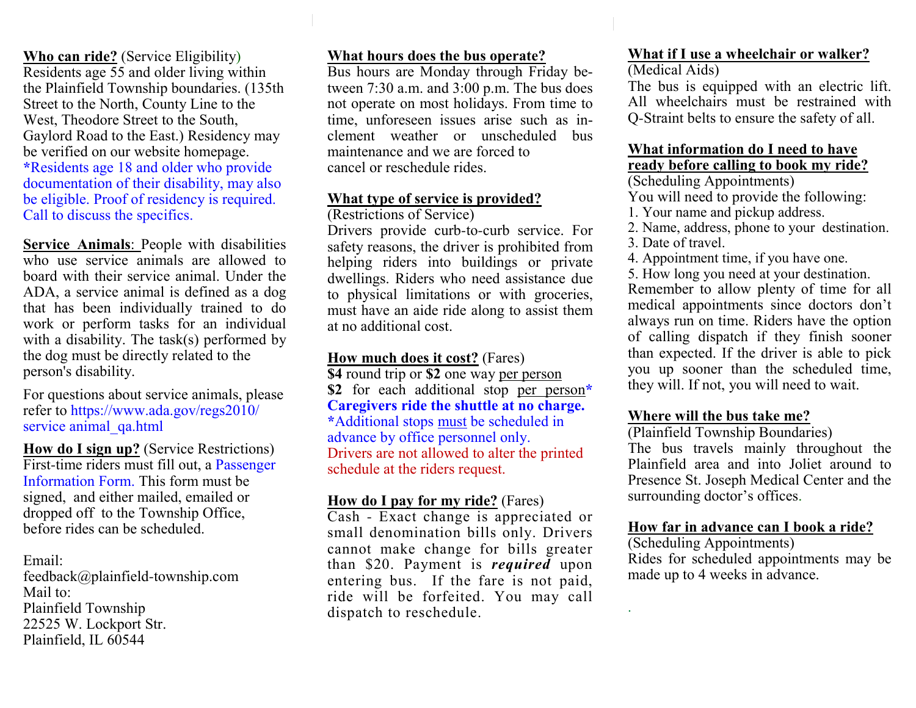**Who can ride?** (Service Eligibility) Residents age 55 and older living within the Plainfield Township boundaries. (135thStreet to the North, County Line to the West, Theodore Street to the South, Gaylord Road to the East.) Residency may be verified on our website homepage. **\***Residents age 18 and older who provide documentation of their disability, may also be eligible. Proof of residency is required. Call to discuss the specifics.

**Service Animals**: People with disabilities who use service animals are allowed to board with their service animal. Under the ADA, a service animal is defined as a dog that has been individually trained to do work or perform tasks for an individual with a disability. The task(s) performed by the dog must be directly related to the person's disability.

For questions about service animals, please refer to https://www.ada.gov/regs2010/service animal qa.html

**How do I sign up?** (Service Restrictions)First-time riders must fill out, a Passenger Information Form. This form must be signed, and either mailed, emailed or dropped off to the Township Office, before rides can be scheduled.

Email:

 feedback@plainfield-township.com Mail to: Plainfield Township 22525 W. Lockport Str.Plainfield, IL 60544

#### **What hours does the bus operate?**

 Bus hours are Monday through Friday between 7:30 a.m. and 3:00 p.m. The bus does not operate on most holidays. From time to time, unforeseen issues arise such as inclement weather or unscheduled bus maintenance and we are forced to cancel or reschedule rides.

#### **What type of service is provided?**

(Restrictions of Service)

 Drivers provide curb-to-curb service. For safety reasons, the driver is prohibited from helping riders into buildings or private dwellings. Riders who need assistance due to physical limitations or with groceries, must have an aide ride along to assist them at no additional cost.

**How much does it cost?** (Fares)

 **\$4** round trip or **\$2** one way per person **\$2** for each additional stop per person**\* Caregivers ride the shuttle at no charge.\***Additional stops must be scheduled in advance by office personnel only. Drivers are not allowed to alter the printed schedule at the riders request.

#### **How do I pay for my ride?** (Fares)

 Cash - Exact change is appreciated or small denomination bills only. Drivers cannot make change for bills greater than \$20. Payment is *required* upon entering bus. If the fare is not paid, ride will be forfeited. You may call dispatch to reschedule.

# **What if I use a wheelchair or walker?**

(Medical Aids)

 The bus is equipped with an electric lift. All wheelchairs must be restrained with Q-Straint belts to ensure the safety of all.

#### **What information do I need to have ready before calling to book my ride?**

(Scheduling Appointments)

You will need to provide the following:

- 1. Your name and pickup address.
- 2. Name, address, phone to your destination.
- 3. Date of travel.

.

4. Appointment time, if you have one.

5. How long you need at your destination.

 Remember to allow plenty of time for all medical appointments since doctors don't always run on time. Riders have the option of calling dispatch if they finish sooner than expected. If the driver is able to pick you up sooner than the scheduled time, they will. If not, you will need to wait.

#### **Where will the bus take me?**

(Plainfield Township Boundaries)

 The bus travels mainly throughout the Plainfield area and into Joliet around to Presence St. Joseph Medical Center and the surrounding doctor's offices.

#### **How far in advance can I book a ride?**

(Scheduling Appointments) Rides for scheduled appointments may be made up to 4 weeks in advance.